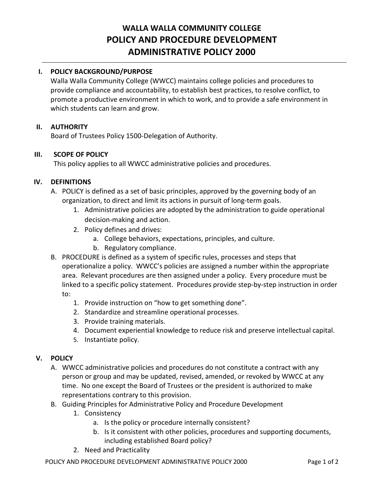# **WALLA WALLA COMMUNITY COLLEGE POLICY AND PROCEDURE DEVELOPMENT ADMINISTRATIVE POLICY 2000**

## **I. POLICY BACKGROUND/PURPOSE**

Walla Walla Community College (WWCC) maintains college policies and procedures to provide compliance and accountability, to establish best practices, to resolve conflict, to promote a productive environment in which to work, and to provide a safe environment in which students can learn and grow.

#### **II. AUTHORITY**

Board of Trustees Policy 1500-Delegation of Authority.

#### **III. SCOPE OF POLICY**

This policy applies to all WWCC administrative policies and procedures.

#### **IV. DEFINITIONS**

- A. POLICY is defined as a set of basic principles, approved by the governing body of an organization, to direct and limit its actions in pursuit of long-term goals.
	- 1. Administrative policies are adopted by the administration to guide operational decision-making and action.
	- 2. Policy defines and drives:
		- a. College behaviors, expectations, principles, and culture.
		- b. Regulatory compliance.
- B. PROCEDURE is defined as a system of specific rules, processes and steps that operationalize a policy. WWCC's policies are assigned a number within the appropriate area. Relevant procedures are then assigned under a policy. Every procedure must be linked to a specific policy statement. Procedures provide step-by-step instruction in order to:
	- 1. Provide instruction on "how to get something done".
	- 2. Standardize and streamline operational processes.
	- 3. Provide training materials.
	- 4. Document experiential knowledge to reduce risk and preserve intellectual capital.
	- 5. Instantiate policy.

#### **V. POLICY**

- A. WWCC administrative policies and procedures do not constitute a contract with any person or group and may be updated, revised, amended, or revoked by WWCC at any time. No one except the Board of Trustees or the president is authorized to make representations contrary to this provision.
- B. Guiding Principles for Administrative Policy and Procedure Development
	- 1. Consistency
		- a. Is the policy or procedure internally consistent?
		- b. Is it consistent with other policies, procedures and supporting documents, including established Board policy?
	- 2. Need and Practicality